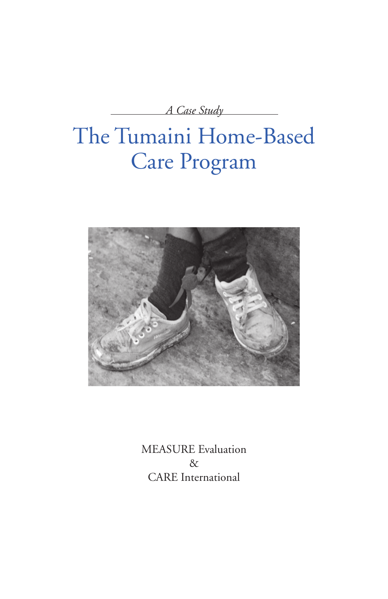*A Case Study*

# The Tumaini Home-Based Care Program



MEASURE Evaluation & CARE International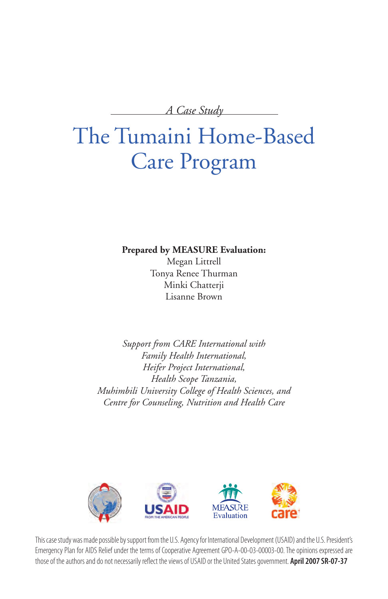*A Case Study*

# The Tumaini Home-Based Care Program

**Prepared by MEASURE Evaluation:**

Megan Littrell Tonya Renee Thurman Minki Chatterji Lisanne Brown

*Support from CARE International with Family Health International, Heifer Project International, Health Scope Tanzania, Muhimbili University College of Health Sciences, and Centre for Counseling, Nutrition and Health Care*



This case study was made possible by support from the U.S. Agency for International Development (USAID) and the U.S. President's Emergency Plan for AIDS Relief under the terms of Cooperative Agreement GPO-A-00-03-00003-00. The opinions expressed are those of the authors and do not necessarily reflect the views of USAID or the United States government. **April 2007 SR-07-37**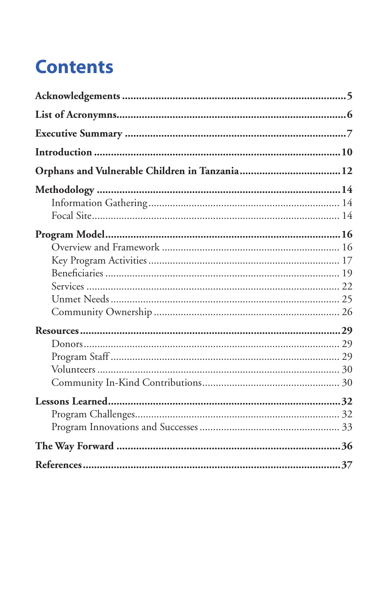# **Contents**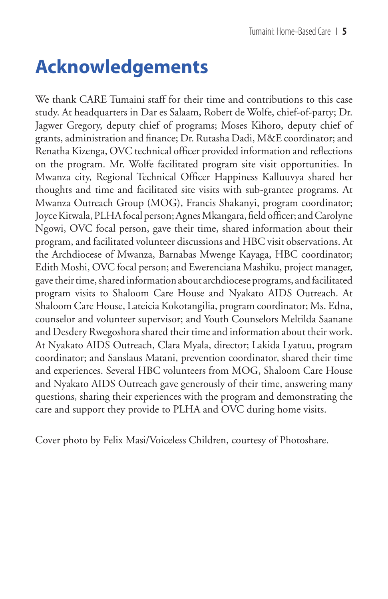## **Acknowledgements**

We thank CARE Tumaini staff for their time and contributions to this case study. At headquarters in Dar es Salaam, Robert de Wolfe, chief-of-party; Dr. Jagwer Gregory, deputy chief of programs; Moses Kihoro, deputy chief of grants, administration and finance; Dr. Rutasha Dadi, M&E coordinator; and Renatha Kizenga, OVC technical officer provided information and reflections on the program. Mr. Wolfe facilitated program site visit opportunities. In Mwanza city, Regional Technical Officer Happiness Kalluuvya shared her thoughts and time and facilitated site visits with sub-grantee programs. At Mwanza Outreach Group (MOG), Francis Shakanyi, program coordinator; Joyce Kitwala, PLHA focal person; Agnes Mkangara, field officer; and Carolyne Ngowi, OVC focal person, gave their time, shared information about their program, and facilitated volunteer discussions and HBC visit observations. At the Archdiocese of Mwanza, Barnabas Mwenge Kayaga, HBC coordinator; Edith Moshi, OVC focal person; and Ewerenciana Mashiku, project manager, gave their time, shared information about archdiocese programs, and facilitated program visits to Shaloom Care House and Nyakato AIDS Outreach. At Shaloom Care House, Lateicia Kokotangilia, program coordinator; Ms. Edna, counselor and volunteer supervisor; and Youth Counselors Meltilda Saanane and Desdery Rwegoshora shared their time and information about their work. At Nyakato AIDS Outreach, Clara Myala, director; Lakida Lyatuu, program coordinator; and Sanslaus Matani, prevention coordinator, shared their time and experiences. Several HBC volunteers from MOG, Shaloom Care House and Nyakato AIDS Outreach gave generously of their time, answering many questions, sharing their experiences with the program and demonstrating the care and support they provide to PLHA and OVC during home visits.

Cover photo by Felix Masi/Voiceless Children, courtesy of Photoshare.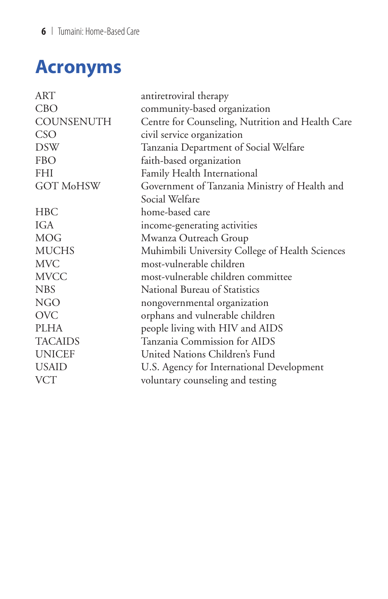## **Acronyms**

| ART               | antiretroviral therapy                           |
|-------------------|--------------------------------------------------|
| <b>CBO</b>        | community-based organization                     |
| <b>COUNSENUTH</b> | Centre for Counseling, Nutrition and Health Care |
| <b>CSO</b>        | civil service organization                       |
| <b>DSW</b>        | Tanzania Department of Social Welfare            |
| <b>FBO</b>        | faith-based organization                         |
| <b>FHI</b>        | Family Health International                      |
| <b>GOT MoHSW</b>  | Government of Tanzania Ministry of Health and    |
|                   | Social Welfare                                   |
| HBC               | home-based care                                  |
| IGA               | income-generating activities                     |
| <b>MOG</b>        | Mwanza Outreach Group                            |
| <b>MUCHS</b>      | Muhimbili University College of Health Sciences  |
| <b>MVC</b>        | most-vulnerable children                         |
| <b>MVCC</b>       | most-vulnerable children committee               |
| <b>NBS</b>        | National Bureau of Statistics                    |
| <b>NGO</b>        | nongovernmental organization                     |
| <b>OVC</b>        | orphans and vulnerable children                  |
| <b>PLHA</b>       | people living with HIV and AIDS                  |
| <b>TACAIDS</b>    | Tanzania Commission for AIDS                     |
| <b>UNICEF</b>     | United Nations Children's Fund                   |
| <b>USAID</b>      | U.S. Agency for International Development        |
| <b>VCT</b>        | voluntary counseling and testing                 |
|                   |                                                  |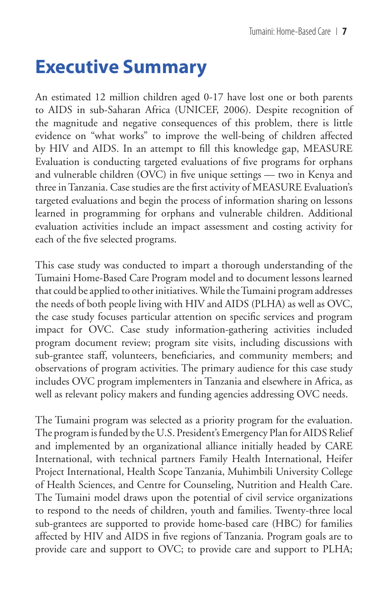## **Executive Summary**

An estimated 12 million children aged 0-17 have lost one or both parents to AIDS in sub-Saharan Africa (UNICEF, 2006). Despite recognition of the magnitude and negative consequences of this problem, there is little evidence on "what works" to improve the well-being of children affected by HIV and AIDS. In an attempt to fill this knowledge gap, MEASURE Evaluation is conducting targeted evaluations of five programs for orphans and vulnerable children (OVC) in five unique settings — two in Kenya and three in Tanzania. Case studies are the first activity of MEASURE Evaluation's targeted evaluations and begin the process of information sharing on lessons learned in programming for orphans and vulnerable children. Additional evaluation activities include an impact assessment and costing activity for each of the five selected programs.

This case study was conducted to impart a thorough understanding of the Tumaini Home-Based Care Program model and to document lessons learned that could be applied to other initiatives. While the Tumaini program addresses the needs of both people living with HIV and AIDS (PLHA) as well as OVC, the case study focuses particular attention on specific services and program impact for OVC. Case study information-gathering activities included program document review; program site visits, including discussions with sub-grantee staff, volunteers, beneficiaries, and community members; and observations of program activities. The primary audience for this case study includes OVC program implementers in Tanzania and elsewhere in Africa, as well as relevant policy makers and funding agencies addressing OVC needs.

The Tumaini program was selected as a priority program for the evaluation. The program is funded by the U.S. President's Emergency Plan for AIDS Relief and implemented by an organizational alliance initially headed by CARE International, with technical partners Family Health International, Heifer Project International, Health Scope Tanzania, Muhimbili University College of Health Sciences, and Centre for Counseling, Nutrition and Health Care. The Tumaini model draws upon the potential of civil service organizations to respond to the needs of children, youth and families. Twenty-three local sub-grantees are supported to provide home-based care (HBC) for families affected by HIV and AIDS in five regions of Tanzania. Program goals are to provide care and support to OVC; to provide care and support to PLHA;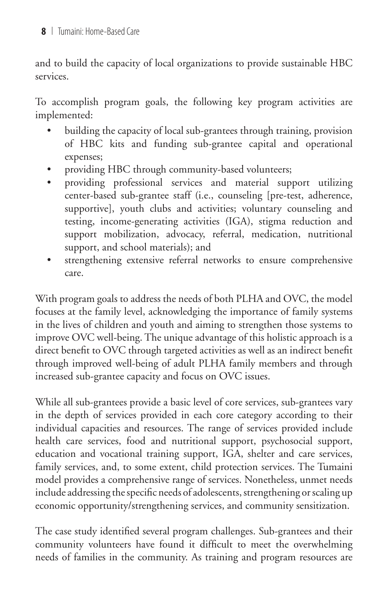and to build the capacity of local organizations to provide sustainable HBC services.

To accomplish program goals, the following key program activities are implemented:

- building the capacity of local sub-grantees through training, provision of HBC kits and funding sub-grantee capital and operational expenses; •
- providing HBC through community-based volunteers; •
- providing professional services and material support utilizing center-based sub-grantee staff (i.e., counseling [pre-test, adherence, supportive], youth clubs and activities; voluntary counseling and testing, income-generating activities (IGA), stigma reduction and support mobilization, advocacy, referral, medication, nutritional support, and school materials); and •
- strengthening extensive referral networks to ensure comprehensive care. •

With program goals to address the needs of both PLHA and OVC, the model focuses at the family level, acknowledging the importance of family systems in the lives of children and youth and aiming to strengthen those systems to improve OVC well-being. The unique advantage of this holistic approach is a direct benefit to OVC through targeted activities as well as an indirect benefit through improved well-being of adult PLHA family members and through increased sub-grantee capacity and focus on OVC issues.

While all sub-grantees provide a basic level of core services, sub-grantees vary in the depth of services provided in each core category according to their individual capacities and resources. The range of services provided include health care services, food and nutritional support, psychosocial support, education and vocational training support, IGA, shelter and care services, family services, and, to some extent, child protection services. The Tumaini model provides a comprehensive range of services. Nonetheless, unmet needs include addressing the specific needs of adolescents, strengthening or scaling up economic opportunity/strengthening services, and community sensitization.

The case study identified several program challenges. Sub-grantees and their community volunteers have found it difficult to meet the overwhelming needs of families in the community. As training and program resources are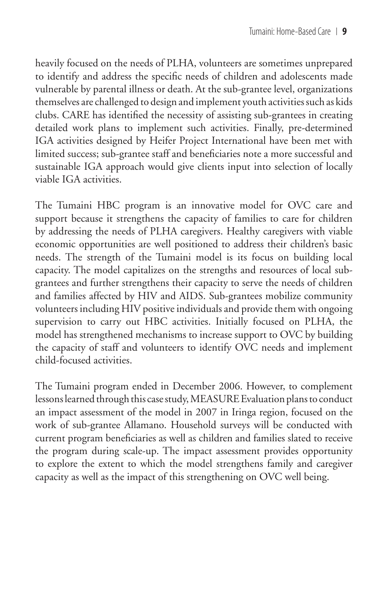heavily focused on the needs of PLHA, volunteers are sometimes unprepared to identify and address the specific needs of children and adolescents made vulnerable by parental illness or death. At the sub-grantee level, organizations themselves are challenged to design and implement youth activities such as kids clubs. CARE has identified the necessity of assisting sub-grantees in creating detailed work plans to implement such activities. Finally, pre-determined IGA activities designed by Heifer Project International have been met with limited success; sub-grantee staff and beneficiaries note a more successful and sustainable IGA approach would give clients input into selection of locally viable IGA activities.

The Tumaini HBC program is an innovative model for OVC care and support because it strengthens the capacity of families to care for children by addressing the needs of PLHA caregivers. Healthy caregivers with viable economic opportunities are well positioned to address their children's basic needs. The strength of the Tumaini model is its focus on building local capacity. The model capitalizes on the strengths and resources of local subgrantees and further strengthens their capacity to serve the needs of children and families affected by HIV and AIDS. Sub-grantees mobilize community volunteers including HIV positive individuals and provide them with ongoing supervision to carry out HBC activities. Initially focused on PLHA, the model has strengthened mechanisms to increase support to OVC by building the capacity of staff and volunteers to identify OVC needs and implement child-focused activities.

The Tumaini program ended in December 2006. However, to complement lessons learned through this case study, MEASURE Evaluation plans to conduct an impact assessment of the model in 2007 in Iringa region, focused on the work of sub-grantee Allamano. Household surveys will be conducted with current program beneficiaries as well as children and families slated to receive the program during scale-up. The impact assessment provides opportunity to explore the extent to which the model strengthens family and caregiver capacity as well as the impact of this strengthening on OVC well being.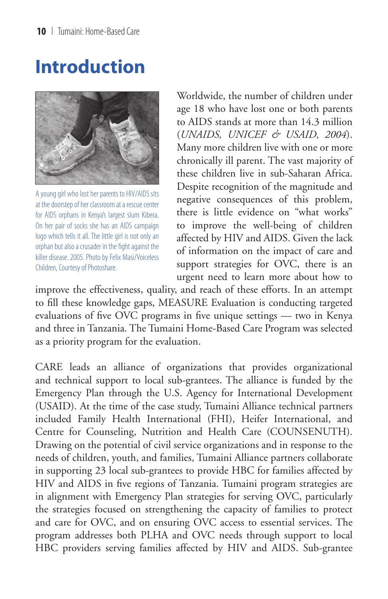## **Introduction**



A young girl who lost her parents to HIV/AIDS sits at the doorstep of her classroom at a rescue center for AIDS orphans in Kenya's largest slum Kibera. On her pair of socks she has an AIDS campaign logo which tells it all. The little girl is not only an orphan but also a crusader in the fight against the killer disease. 2005. Photo by Felix Masi/Voiceless Children, Courtesy of Photoshare.

Worldwide, the number of children under age 18 who have lost one or both parents to AIDS stands at more than 14.3 million (*UNAIDS, UNICEF & USAID, 2004*). Many more children live with one or more chronically ill parent. The vast majority of these children live in sub-Saharan Africa. Despite recognition of the magnitude and negative consequences of this problem, there is little evidence on "what works" to improve the well-being of children affected by HIV and AIDS. Given the lack of information on the impact of care and support strategies for OVC, there is an urgent need to learn more about how to

improve the effectiveness, quality, and reach of these efforts. In an attempt to fill these knowledge gaps, MEASURE Evaluation is conducting targeted evaluations of five OVC programs in five unique settings — two in Kenya and three in Tanzania. The Tumaini Home-Based Care Program was selected as a priority program for the evaluation.

CARE leads an alliance of organizations that provides organizational and technical support to local sub-grantees. The alliance is funded by the Emergency Plan through the U.S. Agency for International Development (USAID). At the time of the case study, Tumaini Alliance technical partners included Family Health International (FHI), Heifer International, and Centre for Counseling, Nutrition and Health Care (COUNSENUTH). Drawing on the potential of civil service organizations and in response to the needs of children, youth, and families, Tumaini Alliance partners collaborate in supporting 23 local sub-grantees to provide HBC for families affected by HIV and AIDS in five regions of Tanzania. Tumaini program strategies are in alignment with Emergency Plan strategies for serving OVC, particularly the strategies focused on strengthening the capacity of families to protect and care for OVC, and on ensuring OVC access to essential services. The program addresses both PLHA and OVC needs through support to local HBC providers serving families affected by HIV and AIDS. Sub-grantee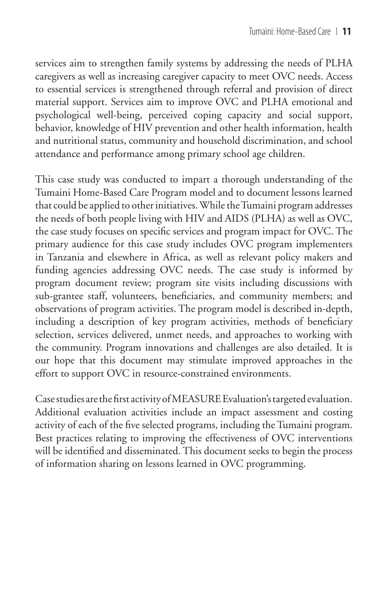services aim to strengthen family systems by addressing the needs of PLHA caregivers as well as increasing caregiver capacity to meet OVC needs. Access to essential services is strengthened through referral and provision of direct material support. Services aim to improve OVC and PLHA emotional and psychological well-being, perceived coping capacity and social support, behavior, knowledge of HIV prevention and other health information, health and nutritional status, community and household discrimination, and school attendance and performance among primary school age children.

This case study was conducted to impart a thorough understanding of the Tumaini Home-Based Care Program model and to document lessons learned that could be applied to other initiatives. While the Tumaini program addresses the needs of both people living with HIV and AIDS (PLHA) as well as OVC, the case study focuses on specific services and program impact for OVC. The primary audience for this case study includes OVC program implementers in Tanzania and elsewhere in Africa, as well as relevant policy makers and funding agencies addressing OVC needs. The case study is informed by program document review; program site visits including discussions with sub-grantee staff, volunteers, beneficiaries, and community members; and observations of program activities. The program model is described in-depth, including a description of key program activities, methods of beneficiary selection, services delivered, unmet needs, and approaches to working with the community. Program innovations and challenges are also detailed. It is our hope that this document may stimulate improved approaches in the effort to support OVC in resource-constrained environments.

Case studies are the first activity of MEASURE Evaluation's targeted evaluation. Additional evaluation activities include an impact assessment and costing activity of each of the five selected programs, including the Tumaini program. Best practices relating to improving the effectiveness of OVC interventions will be identified and disseminated. This document seeks to begin the process of information sharing on lessons learned in OVC programming.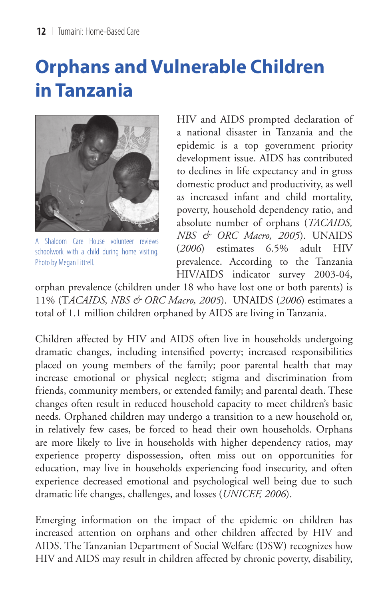# **Orphans and Vulnerable Children in Tanzania**



A Shaloom Care House volunteer reviews schoolwork with a child during home visiting. Photo by Megan Littrell.

HIV and AIDS prompted declaration of a national disaster in Tanzania and the epidemic is a top government priority development issue. AIDS has contributed to declines in life expectancy and in gross domestic product and productivity, as well as increased infant and child mortality, poverty, household dependency ratio, and absolute number of orphans (*TACAIDS, NBS & ORC Macro, 2005*). UNAIDS (*2006*) estimates 6.5% adult HIV prevalence. According to the Tanzania HIV/AIDS indicator survey 2003-04,

orphan prevalence (children under 18 who have lost one or both parents) is 11% (T*ACAIDS, NBS & ORC Macro, 2005*). UNAIDS (*2006*) estimates a total of 1.1 million children orphaned by AIDS are living in Tanzania.

Children affected by HIV and AIDS often live in households undergoing dramatic changes, including intensified poverty; increased responsibilities placed on young members of the family; poor parental health that may increase emotional or physical neglect; stigma and discrimination from friends, community members, or extended family; and parental death. These changes often result in reduced household capacity to meet children's basic needs. Orphaned children may undergo a transition to a new household or, in relatively few cases, be forced to head their own households. Orphans are more likely to live in households with higher dependency ratios, may experience property dispossession, often miss out on opportunities for education, may live in households experiencing food insecurity, and often experience decreased emotional and psychological well being due to such dramatic life changes, challenges, and losses (*UNICEF, 2006*).

Emerging information on the impact of the epidemic on children has increased attention on orphans and other children affected by HIV and AIDS. The Tanzanian Department of Social Welfare (DSW) recognizes how HIV and AIDS may result in children affected by chronic poverty, disability,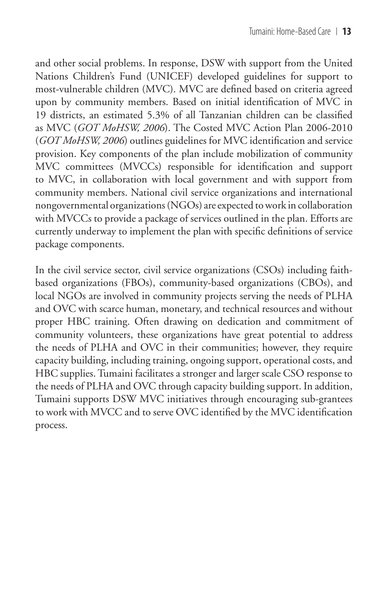and other social problems. In response, DSW with support from the United Nations Children's Fund (UNICEF) developed guidelines for support to most-vulnerable children (MVC). MVC are defined based on criteria agreed upon by community members. Based on initial identification of MVC in 19 districts, an estimated 5.3% of all Tanzanian children can be classified as MVC (*GOT MoHSW, 2006*). The Costed MVC Action Plan 2006-2010 (*GOT MoHSW, 2006*) outlines guidelines for MVC identification and service provision. Key components of the plan include mobilization of community MVC committees (MVCCs) responsible for identification and support to MVC, in collaboration with local government and with support from community members. National civil service organizations and international nongovernmental organizations (NGOs) are expected to work in collaboration with MVCCs to provide a package of services outlined in the plan. Efforts are currently underway to implement the plan with specific definitions of service package components.

In the civil service sector, civil service organizations (CSOs) including faithbased organizations (FBOs), community-based organizations (CBOs), and local NGOs are involved in community projects serving the needs of PLHA and OVC with scarce human, monetary, and technical resources and without proper HBC training. Often drawing on dedication and commitment of community volunteers, these organizations have great potential to address the needs of PLHA and OVC in their communities; however, they require capacity building, including training, ongoing support, operational costs, and HBC supplies. Tumaini facilitates a stronger and larger scale CSO response to the needs of PLHA and OVC through capacity building support. In addition, Tumaini supports DSW MVC initiatives through encouraging sub-grantees to work with MVCC and to serve OVC identified by the MVC identification process.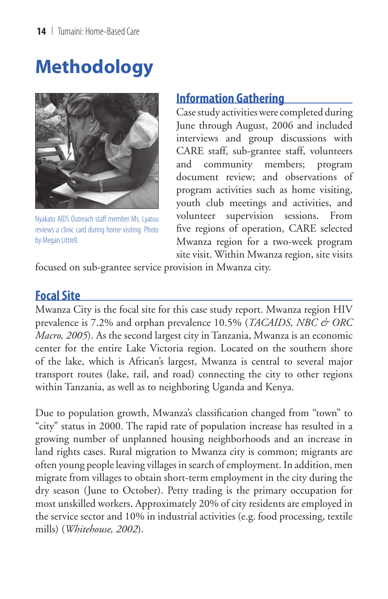# **Methodology**



Nyakato AIDS Outreach staff member Ms. Lyatuu reviews a clinic card during home visiting. Photo by Megan Littrell.

### **Information Gathering**

Case study activities were completed during June through August, 2006 and included interviews and group discussions with CARE staff, sub-grantee staff, volunteers and community members; program document review; and observations of program activities such as home visiting, youth club meetings and activities, and volunteer supervision sessions. From five regions of operation, CARE selected Mwanza region for a two-week program site visit. Within Mwanza region, site visits

focused on sub-grantee service provision in Mwanza city.

### **Focal Site**

Mwanza City is the focal site for this case study report. Mwanza region HIV prevalence is 7.2% and orphan prevalence 10.5% (*TACAIDS, NBC & ORC Macro, 2005*). As the second largest city in Tanzania, Mwanza is an economic center for the entire Lake Victoria region. Located on the southern shore of the lake, which is African's largest, Mwanza is central to several major transport routes (lake, rail, and road) connecting the city to other regions within Tanzania, as well as to neighboring Uganda and Kenya.

Due to population growth, Mwanza's classification changed from "town" to "city" status in 2000. The rapid rate of population increase has resulted in a growing number of unplanned housing neighborhoods and an increase in land rights cases. Rural migration to Mwanza city is common; migrants are often young people leaving villages in search of employment. In addition, men migrate from villages to obtain short-term employment in the city during the dry season (June to October). Petty trading is the primary occupation for most unskilled workers. Approximately 20% of city residents are employed in the service sector and 10% in industrial activities (e.g. food processing, textile mills) (*Whitehouse, 2002*).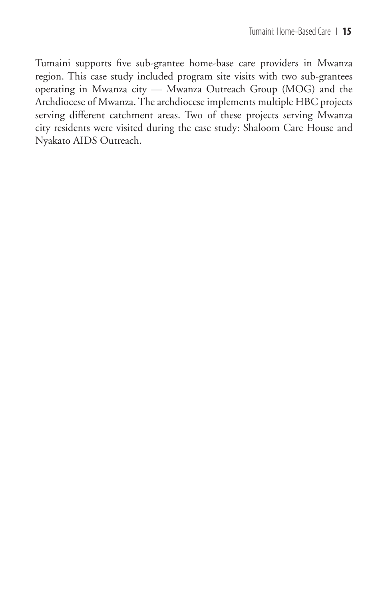Tumaini supports five sub-grantee home-base care providers in Mwanza region. This case study included program site visits with two sub-grantees operating in Mwanza city — Mwanza Outreach Group (MOG) and the Archdiocese of Mwanza. The archdiocese implements multiple HBC projects serving different catchment areas. Two of these projects serving Mwanza city residents were visited during the case study: Shaloom Care House and Nyakato AIDS Outreach.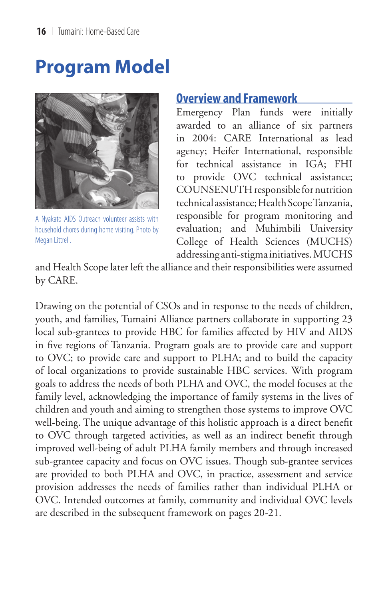## **Program Model**



A Nyakato AIDS Outreach volunteer assists with household chores during home visiting. Photo by Megan Littrell.

#### **Overview and Framework**

Emergency Plan funds were initially awarded to an alliance of six partners in 2004: CARE International as lead agency; Heifer International, responsible for technical assistance in IGA; FHI to provide OVC technical assistance; COUNSENUTH responsible for nutrition technical assistance; Health Scope Tanzania, responsible for program monitoring and evaluation; and Muhimbili University College of Health Sciences (MUCHS) addressing anti-stigma initiatives. MUCHS

and Health Scope later left the alliance and their responsibilities were assumed by CARE.

Drawing on the potential of CSOs and in response to the needs of children, youth, and families, Tumaini Alliance partners collaborate in supporting 23 local sub-grantees to provide HBC for families affected by HIV and AIDS in five regions of Tanzania. Program goals are to provide care and support to OVC; to provide care and support to PLHA; and to build the capacity of local organizations to provide sustainable HBC services. With program goals to address the needs of both PLHA and OVC, the model focuses at the family level, acknowledging the importance of family systems in the lives of children and youth and aiming to strengthen those systems to improve OVC well-being. The unique advantage of this holistic approach is a direct benefit to OVC through targeted activities, as well as an indirect benefit through improved well-being of adult PLHA family members and through increased sub-grantee capacity and focus on OVC issues. Though sub-grantee services are provided to both PLHA and OVC, in practice, assessment and service provision addresses the needs of families rather than individual PLHA or OVC. Intended outcomes at family, community and individual OVC levels are described in the subsequent framework on pages 20-21.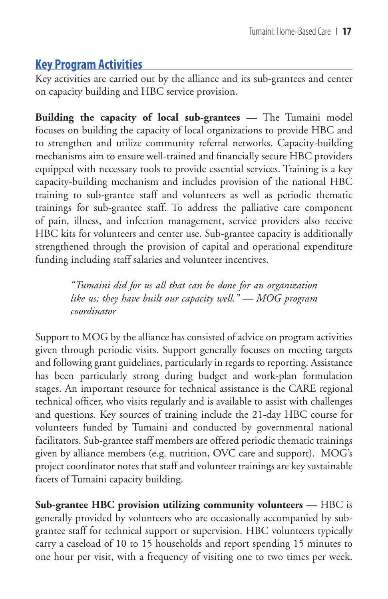## **Key Program Activities**

Key activities are carried out by the alliance and its sub-grantees and center on capacity building and HBC service provision.

**Building the capacity of local sub-grantees —** The Tumaini model focuses on building the capacity of local organizations to provide HBC and to strengthen and utilize community referral networks. Capacity-building mechanisms aim to ensure well-trained and financially secure HBC providers equipped with necessary tools to provide essential services. Training is a key capacity-building mechanism and includes provision of the national HBC training to sub-grantee staff and volunteers as well as periodic thematic trainings for sub-grantee staff. To address the palliative care component of pain, illness, and infection management, service providers also receive HBC kits for volunteers and center use. Sub-grantee capacity is additionally strengthened through the provision of capital and operational expenditure funding including staff salaries and volunteer incentives.

> *"Tumaini did for us all that can be done for an organization like us; they have built our capacity well." — MOG program coordinator*

Support to MOG by the alliance has consisted of advice on program activities given through periodic visits. Support generally focuses on meeting targets and following grant guidelines, particularly in regards to reporting. Assistance has been particularly strong during budget and work-plan formulation stages. An important resource for technical assistance is the CARE regional technical officer, who visits regularly and is available to assist with challenges and questions. Key sources of training include the 21-day HBC course for volunteers funded by Tumaini and conducted by governmental national facilitators. Sub-grantee staff members are offered periodic thematic trainings given by alliance members (e.g. nutrition, OVC care and support). MOG's project coordinator notes that staff and volunteer trainings are key sustainable facets of Tumaini capacity building.

**Sub-grantee HBC provision utilizing community volunteers —** HBC is generally provided by volunteers who are occasionally accompanied by subgrantee staff for technical support or supervision. HBC volunteers typically carry a caseload of 10 to 15 households and report spending 15 minutes to one hour per visit, with a frequency of visiting one to two times per week.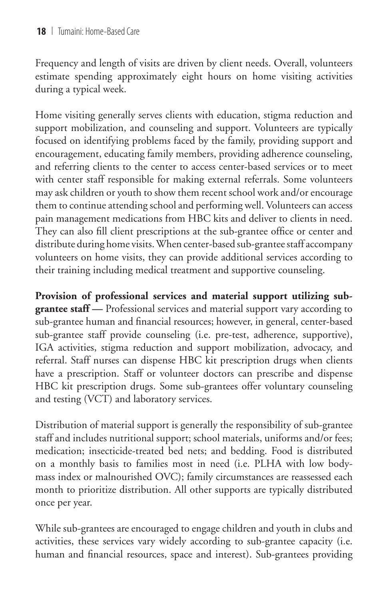Frequency and length of visits are driven by client needs. Overall, volunteers estimate spending approximately eight hours on home visiting activities during a typical week.

Home visiting generally serves clients with education, stigma reduction and support mobilization, and counseling and support. Volunteers are typically focused on identifying problems faced by the family, providing support and encouragement, educating family members, providing adherence counseling, and referring clients to the center to access center-based services or to meet with center staff responsible for making external referrals. Some volunteers may ask children or youth to show them recent school work and/or encourage them to continue attending school and performing well. Volunteers can access pain management medications from HBC kits and deliver to clients in need. They can also fill client prescriptions at the sub-grantee office or center and distribute during home visits. When center-based sub-grantee staff accompany volunteers on home visits, they can provide additional services according to their training including medical treatment and supportive counseling.

**Provision of professional services and material support utilizing subgrantee staff —** Professional services and material support vary according to sub-grantee human and financial resources; however, in general, center-based sub-grantee staff provide counseling (i.e. pre-test, adherence, supportive), IGA activities, stigma reduction and support mobilization, advocacy, and referral. Staff nurses can dispense HBC kit prescription drugs when clients have a prescription. Staff or volunteer doctors can prescribe and dispense HBC kit prescription drugs. Some sub-grantees offer voluntary counseling and testing (VCT) and laboratory services.

Distribution of material support is generally the responsibility of sub-grantee staff and includes nutritional support; school materials, uniforms and/or fees; medication; insecticide-treated bed nets; and bedding. Food is distributed on a monthly basis to families most in need (i.e. PLHA with low bodymass index or malnourished OVC); family circumstances are reassessed each month to prioritize distribution. All other supports are typically distributed once per year.

While sub-grantees are encouraged to engage children and youth in clubs and activities, these services vary widely according to sub-grantee capacity (i.e. human and financial resources, space and interest). Sub-grantees providing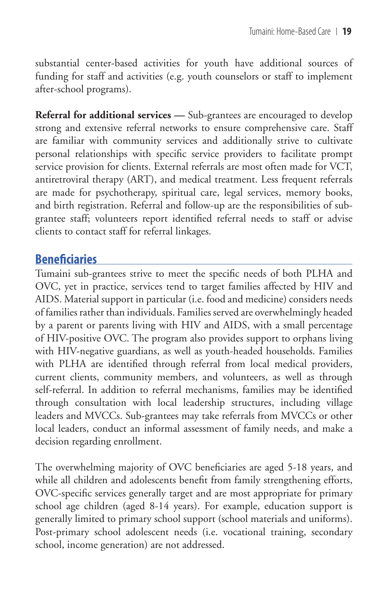substantial center-based activities for youth have additional sources of funding for staff and activities (e.g. youth counselors or staff to implement after-school programs).

**Referral for additional services —** Sub-grantees are encouraged to develop strong and extensive referral networks to ensure comprehensive care. Staff are familiar with community services and additionally strive to cultivate personal relationships with specific service providers to facilitate prompt service provision for clients. External referrals are most often made for VCT, antiretroviral therapy (ART), and medical treatment. Less frequent referrals are made for psychotherapy, spiritual care, legal services, memory books, and birth registration. Referral and follow-up are the responsibilities of subgrantee staff; volunteers report identified referral needs to staff or advise clients to contact staff for referral linkages.

### **Beneficiaries**

Tumaini sub-grantees strive to meet the specific needs of both PLHA and OVC, yet in practice, services tend to target families affected by HIV and AIDS. Material support in particular (i.e. food and medicine) considers needs of families rather than individuals. Families served are overwhelmingly headed by a parent or parents living with HIV and AIDS, with a small percentage of HIV-positive OVC. The program also provides support to orphans living with HIV-negative guardians, as well as youth-headed households. Families with PLHA are identified through referral from local medical providers, current clients, community members, and volunteers, as well as through self-referral. In addition to referral mechanisms, families may be identified through consultation with local leadership structures, including village leaders and MVCCs. Sub-grantees may take referrals from MVCCs or other local leaders, conduct an informal assessment of family needs, and make a decision regarding enrollment.

The overwhelming majority of OVC beneficiaries are aged 5-18 years, and while all children and adolescents benefit from family strengthening efforts, OVC-specific services generally target and are most appropriate for primary school age children (aged 8-14 years). For example, education support is generally limited to primary school support (school materials and uniforms). Post-primary school adolescent needs (i.e. vocational training, secondary school, income generation) are not addressed.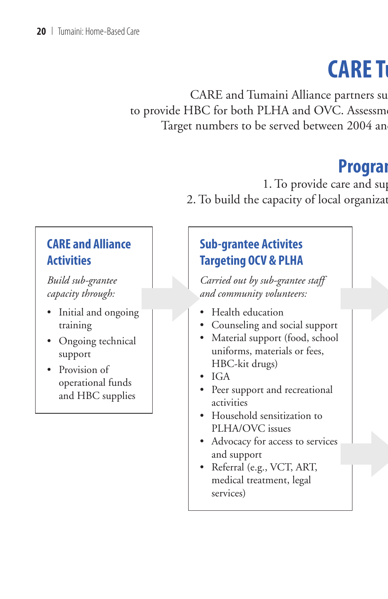# **CARE T**

CARE and Tumaini Alliance partners support 23 and 23 and 23 local subto provide HBC for both PLHA and OVC. Assessment Target numbers to be served between 2004 and

## **Program**

1. To provide care and sup

2. To build the capacity of local organizat

## **CARE and Alliance Activities**

*Build sub-grantee capacity through:*

- $\begin{array}{c|c} \text{tree} \ \text{g}h: & \begin{array}{c} 1 \ \text{h} \ \text{o} \ \text{neging} \end{array} \end{array}$ • Initial and ongoing training
- Ongoing technical support
- Provision of operational funds and HBC supplies

## **Sub-grantee Activites Targeting OCV & PLHA**

e staff<br>::<br>support<br>d, school *Carried out by sub-grantee staff and community volunteers:*

- Health education
- Counseling and social support
- Material support (food, school uniforms, materials or fees, HBC-kit drugs)
- IGA
- Peer support and recreational activities
- Household sensitization to PLHA/OVC issues
- on to<br>services<br>RT,<br>al • Advocacy for access to services and support
- Referral (e.g., VCT, ART, medical treatment, legal services)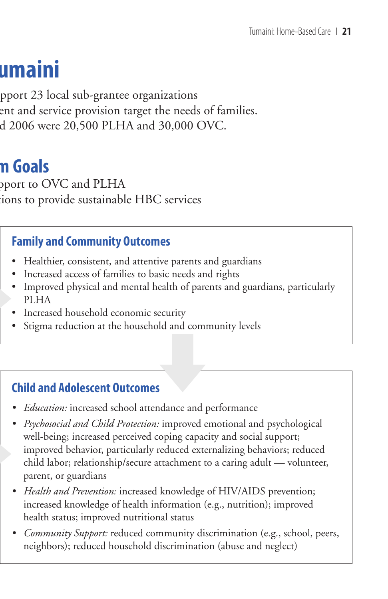# **CARE Tumaini**

pport 23 local sub-grantee organizations ent and service provision target the needs of families.  $d$  2006 were 20,500 PLHA and 30,000 OVC.

## **Program Goals**

pport to OVC and PLHA tions to provide sustainable HBC services

### **Family and Community Outcomes**

- Healthier, consistent, and attentive parents and guardians
- Increased access of families to basic needs and rights
- Improved physical and mental health of parents and guardians, particularly PLHA
	- Increased household economic security
	- ecurity<br>
	Id and com<br>
	S • Stigma reduction at the household and community levels

### **Child and Adolescent Outcomes**

- *Education:* increased school attendance and performance *•*
- *Psychosocial and Child Protection:* improved emotional and psychological *•* well-being; increased perceived coping capacity and social support; improved behavior, particularly reduced externalizing behaviors; reduced child labor; relationship/secure attachment to a caring adult — volunteer, parent, or guardians
	- Health and Prevention: increased knowledge of HIV/AIDS prevention; increased knowledge of health information (e.g., nutrition); improved health status; improved nutritional status
	- *Community Support:* reduced community discrimination (e.g., school, peers, *•* neighbors); reduced household discrimination (abuse and neglect)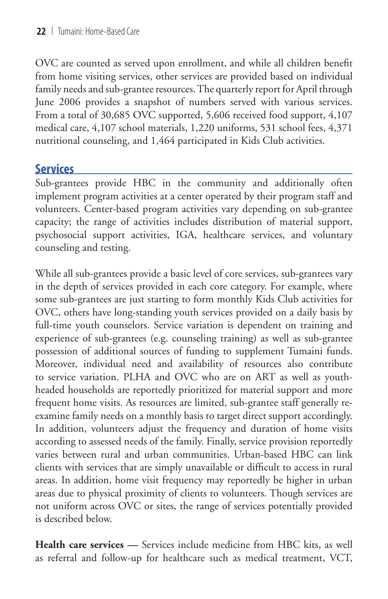OVC are counted as served upon enrollment, and while all children benefit from home visiting services, other services are provided based on individual family needs and sub-grantee resources. The quarterly report for April through June 2006 provides a snapshot of numbers served with various services. From a total of 30,685 OVC supported, 5,606 received food support, 4,107 medical care, 4,107 school materials, 1,220 uniforms, 531 school fees, 4,371 nutritional counseling, and 1,464 participated in Kids Club activities.

### **Services**

Sub-grantees provide HBC in the community and additionally often implement program activities at a center operated by their program staff and volunteers. Center-based program activities vary depending on sub-grantee capacity; the range of activities includes distribution of material support, psychosocial support activities, IGA, healthcare services, and voluntary counseling and testing.

While all sub-grantees provide a basic level of core services, sub-grantees vary in the depth of services provided in each core category. For example, where some sub-grantees are just starting to form monthly Kids Club activities for OVC, others have long-standing youth services provided on a daily basis by full-time youth counselors. Service variation is dependent on training and experience of sub-grantees (e.g. counseling training) as well as sub-grantee possession of additional sources of funding to supplement Tumaini funds. Moreover, individual need and availability of resources also contribute to service variation. PLHA and OVC who are on ART as well as youthheaded households are reportedly prioritized for material support and more frequent home visits. As resources are limited, sub-grantee staff generally reexamine family needs on a monthly basis to target direct support accordingly. In addition, volunteers adjust the frequency and duration of home visits according to assessed needs of the family. Finally, service provision reportedly varies between rural and urban communities. Urban-based HBC can link clients with services that are simply unavailable or difficult to access in rural areas. In addition, home visit frequency may reportedly be higher in urban areas due to physical proximity of clients to volunteers. Though services are not uniform across OVC or sites, the range of services potentially provided is described below.

**Health care services —** Services include medicine from HBC kits, as well as referral and follow-up for healthcare such as medical treatment, VCT,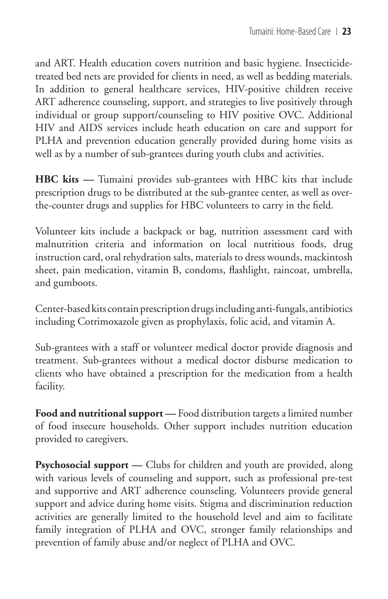and ART. Health education covers nutrition and basic hygiene. Insecticidetreated bed nets are provided for clients in need, as well as bedding materials. In addition to general healthcare services, HIV-positive children receive ART adherence counseling, support, and strategies to live positively through individual or group support/counseling to HIV positive OVC. Additional HIV and AIDS services include heath education on care and support for PLHA and prevention education generally provided during home visits as well as by a number of sub-grantees during youth clubs and activities.

**HBC kits —** Tumaini provides sub-grantees with HBC kits that include prescription drugs to be distributed at the sub-grantee center, as well as overthe-counter drugs and supplies for HBC volunteers to carry in the field.

Volunteer kits include a backpack or bag, nutrition assessment card with malnutrition criteria and information on local nutritious foods, drug instruction card, oral rehydration salts, materials to dress wounds, mackintosh sheet, pain medication, vitamin B, condoms, flashlight, raincoat, umbrella, and gumboots.

Center-based kits contain prescription drugs including anti-fungals, antibiotics including Cotrimoxazole given as prophylaxis, folic acid, and vitamin A.

Sub-grantees with a staff or volunteer medical doctor provide diagnosis and treatment. Sub-grantees without a medical doctor disburse medication to clients who have obtained a prescription for the medication from a health facility.

**Food and nutritional support —** Food distribution targets a limited number of food insecure households. Other support includes nutrition education provided to caregivers.

Psychosocial support — Clubs for children and youth are provided, along with various levels of counseling and support, such as professional pre-test and supportive and ART adherence counseling. Volunteers provide general support and advice during home visits. Stigma and discrimination reduction activities are generally limited to the household level and aim to facilitate family integration of PLHA and OVC, stronger family relationships and prevention of family abuse and/or neglect of PLHA and OVC.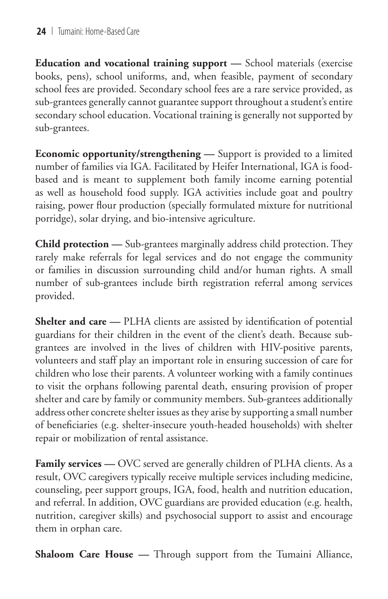**Education and vocational training support —** School materials (exercise books, pens), school uniforms, and, when feasible, payment of secondary school fees are provided. Secondary school fees are a rare service provided, as sub-grantees generally cannot guarantee support throughout a student's entire secondary school education. Vocational training is generally not supported by sub-grantees.

**Economic opportunity/strengthening —** Support is provided to a limited number of families via IGA. Facilitated by Heifer International, IGA is foodbased and is meant to supplement both family income earning potential as well as household food supply. IGA activities include goat and poultry raising, power flour production (specially formulated mixture for nutritional porridge), solar drying, and bio-intensive agriculture.

**Child protection —** Sub-grantees marginally address child protection. They rarely make referrals for legal services and do not engage the community or families in discussion surrounding child and/or human rights. A small number of sub-grantees include birth registration referral among services provided.

**Shelter and care —** PLHA clients are assisted by identification of potential guardians for their children in the event of the client's death. Because subgrantees are involved in the lives of children with HIV-positive parents, volunteers and staff play an important role in ensuring succession of care for children who lose their parents. A volunteer working with a family continues to visit the orphans following parental death, ensuring provision of proper shelter and care by family or community members. Sub-grantees additionally address other concrete shelter issues as they arise by supporting a small number of beneficiaries (e.g. shelter-insecure youth-headed households) with shelter repair or mobilization of rental assistance.

Family services — OVC served are generally children of PLHA clients. As a result, OVC caregivers typically receive multiple services including medicine, counseling, peer support groups, IGA, food, health and nutrition education, and referral. In addition, OVC guardians are provided education (e.g. health, nutrition, caregiver skills) and psychosocial support to assist and encourage them in orphan care.

**Shaloom Care House —** Through support from the Tumaini Alliance,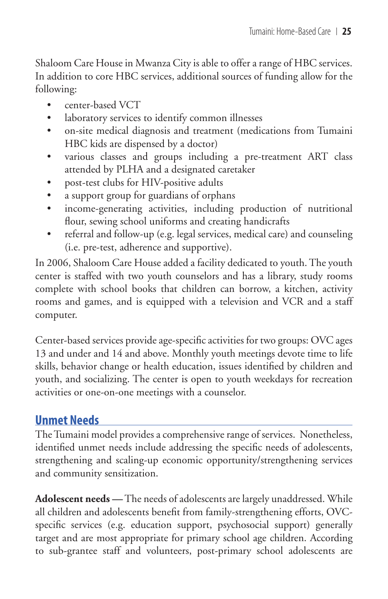Shaloom Care House in Mwanza City is able to offer a range of HBC services. In addition to core HBC services, additional sources of funding allow for the following:

- center-based VCT •
- laboratory services to identify common illnesses •
- on-site medical diagnosis and treatment (medications from Tumaini HBC kids are dispensed by a doctor) •
- various classes and groups including a pre-treatment ART class attended by PLHA and a designated caretaker •
- post-test clubs for HIV-positive adults •
- a support group for guardians of orphans •
- income-generating activities, including production of nutritional flour, sewing school uniforms and creating handicrafts •
- referral and follow-up (e.g. legal services, medical care) and counseling (i.e. pre-test, adherence and supportive). •

In 2006, Shaloom Care House added a facility dedicated to youth. The youth center is staffed with two youth counselors and has a library, study rooms complete with school books that children can borrow, a kitchen, activity rooms and games, and is equipped with a television and VCR and a staff computer.

Center-based services provide age-specific activities for two groups: OVC ages 13 and under and 14 and above. Monthly youth meetings devote time to life skills, behavior change or health education, issues identified by children and youth, and socializing. The center is open to youth weekdays for recreation activities or one-on-one meetings with a counselor.

### **Unmet Needs**

The Tumaini model provides a comprehensive range of services. Nonetheless, identified unmet needs include addressing the specific needs of adolescents, strengthening and scaling-up economic opportunity/strengthening services and community sensitization.

**Adolescent needs —** The needs of adolescents are largely unaddressed. While all children and adolescents benefit from family-strengthening efforts, OVCspecific services (e.g. education support, psychosocial support) generally target and are most appropriate for primary school age children. According to sub-grantee staff and volunteers, post-primary school adolescents are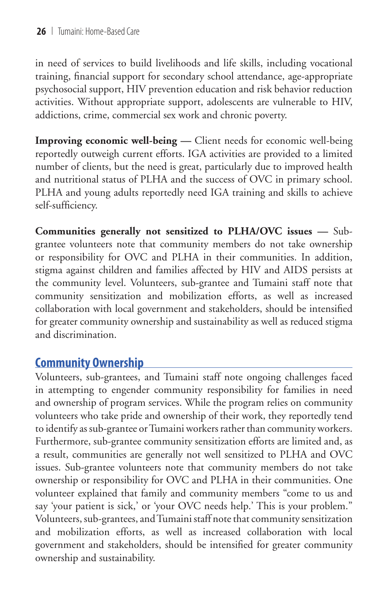in need of services to build livelihoods and life skills, including vocational training, financial support for secondary school attendance, age-appropriate psychosocial support, HIV prevention education and risk behavior reduction activities. Without appropriate support, adolescents are vulnerable to HIV, addictions, crime, commercial sex work and chronic poverty.

**Improving economic well-being —** Client needs for economic well-being reportedly outweigh current efforts. IGA activities are provided to a limited number of clients, but the need is great, particularly due to improved health and nutritional status of PLHA and the success of OVC in primary school. PLHA and young adults reportedly need IGA training and skills to achieve self-sufficiency.

**Communities generally not sensitized to PLHA/OVC issues —** Subgrantee volunteers note that community members do not take ownership or responsibility for OVC and PLHA in their communities. In addition, stigma against children and families affected by HIV and AIDS persists at the community level. Volunteers, sub-grantee and Tumaini staff note that community sensitization and mobilization efforts, as well as increased collaboration with local government and stakeholders, should be intensified for greater community ownership and sustainability as well as reduced stigma and discrimination.

## **Community Ownership**

Volunteers, sub-grantees, and Tumaini staff note ongoing challenges faced in attempting to engender community responsibility for families in need and ownership of program services. While the program relies on community volunteers who take pride and ownership of their work, they reportedly tend to identify as sub-grantee or Tumaini workers rather than community workers. Furthermore, sub-grantee community sensitization efforts are limited and, as a result, communities are generally not well sensitized to PLHA and OVC issues. Sub-grantee volunteers note that community members do not take ownership or responsibility for OVC and PLHA in their communities. One volunteer explained that family and community members "come to us and say 'your patient is sick,' or 'your OVC needs help.' This is your problem." Volunteers, sub-grantees, and Tumaini staff note that community sensitization and mobilization efforts, as well as increased collaboration with local government and stakeholders, should be intensified for greater community ownership and sustainability.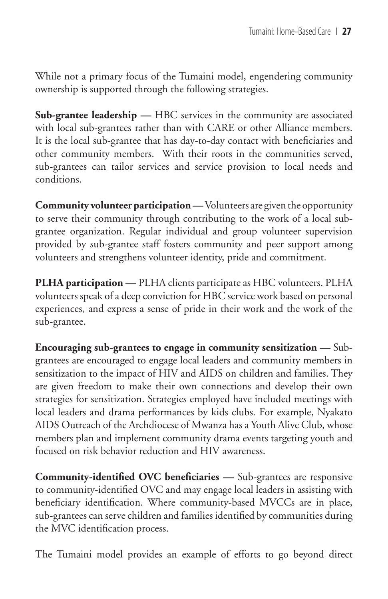While not a primary focus of the Tumaini model, engendering community ownership is supported through the following strategies.

**Sub-grantee leadership —** HBC services in the community are associated with local sub-grantees rather than with CARE or other Alliance members. It is the local sub-grantee that has day-to-day contact with beneficiaries and other community members. With their roots in the communities served, sub-grantees can tailor services and service provision to local needs and conditions.

**Community volunteer participation —** Volunteers are given the opportunity to serve their community through contributing to the work of a local subgrantee organization. Regular individual and group volunteer supervision provided by sub-grantee staff fosters community and peer support among volunteers and strengthens volunteer identity, pride and commitment.

**PLHA participation —** PLHA clients participate as HBC volunteers. PLHA volunteers speak of a deep conviction for HBC service work based on personal experiences, and express a sense of pride in their work and the work of the sub-grantee.

**Encouraging sub-grantees to engage in community sensitization —** Subgrantees are encouraged to engage local leaders and community members in sensitization to the impact of HIV and AIDS on children and families. They are given freedom to make their own connections and develop their own strategies for sensitization. Strategies employed have included meetings with local leaders and drama performances by kids clubs. For example, Nyakato AIDS Outreach of the Archdiocese of Mwanza has a Youth Alive Club, whose members plan and implement community drama events targeting youth and focused on risk behavior reduction and HIV awareness.

**Community-identified OVC beneficiaries —** Sub-grantees are responsive to community-identified OVC and may engage local leaders in assisting with beneficiary identification. Where community-based MVCCs are in place, sub-grantees can serve children and families identified by communities during the MVC identification process.

The Tumaini model provides an example of efforts to go beyond direct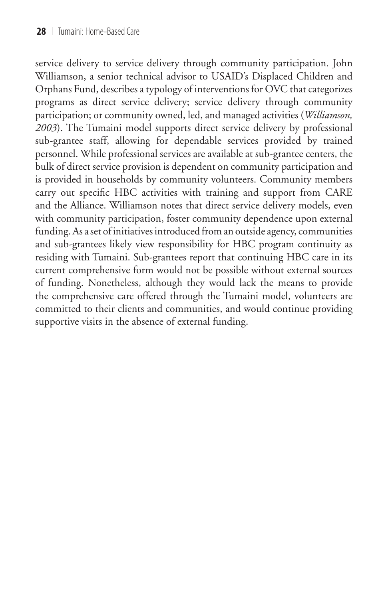service delivery to service delivery through community participation. John Williamson, a senior technical advisor to USAID's Displaced Children and Orphans Fund, describes a typology of interventions for OVC that categorizes programs as direct service delivery; service delivery through community participation; or community owned, led, and managed activities (*Williamson, 2003*). The Tumaini model supports direct service delivery by professional sub-grantee staff, allowing for dependable services provided by trained personnel. While professional services are available at sub-grantee centers, the bulk of direct service provision is dependent on community participation and is provided in households by community volunteers. Community members carry out specific HBC activities with training and support from CARE and the Alliance. Williamson notes that direct service delivery models, even with community participation, foster community dependence upon external funding. As a set of initiatives introduced from an outside agency, communities and sub-grantees likely view responsibility for HBC program continuity as residing with Tumaini. Sub-grantees report that continuing HBC care in its current comprehensive form would not be possible without external sources of funding. Nonetheless, although they would lack the means to provide the comprehensive care offered through the Tumaini model, volunteers are committed to their clients and communities, and would continue providing supportive visits in the absence of external funding.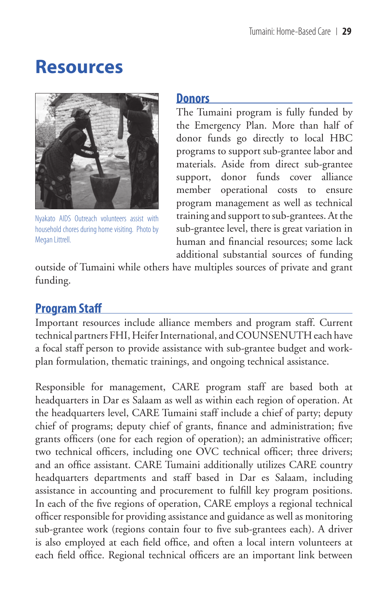## **Resources**



Nyakato AIDS Outreach volunteers assist with household chores during home visiting. Photo by Megan Littrell.

#### **Donors**

The Tumaini program is fully funded by the Emergency Plan. More than half of donor funds go directly to local HBC programs to support sub-grantee labor and materials. Aside from direct sub-grantee support, donor funds cover alliance member operational costs to ensure program management as well as technical training and support to sub-grantees. At the sub-grantee level, there is great variation in human and financial resources; some lack additional substantial sources of funding

outside of Tumaini while others have multiples sources of private and grant funding.

### **Program Staff**

Important resources include alliance members and program staff. Current technical partners FHI, Heifer International, and COUNSENUTH each have a focal staff person to provide assistance with sub-grantee budget and workplan formulation, thematic trainings, and ongoing technical assistance.

Responsible for management, CARE program staff are based both at headquarters in Dar es Salaam as well as within each region of operation. At the headquarters level, CARE Tumaini staff include a chief of party; deputy chief of programs; deputy chief of grants, finance and administration; five grants officers (one for each region of operation); an administrative officer; two technical officers, including one OVC technical officer; three drivers; and an office assistant. CARE Tumaini additionally utilizes CARE country headquarters departments and staff based in Dar es Salaam, including assistance in accounting and procurement to fulfill key program positions. In each of the five regions of operation, CARE employs a regional technical officer responsible for providing assistance and guidance as well as monitoring sub-grantee work (regions contain four to five sub-grantees each). A driver is also employed at each field office, and often a local intern volunteers at each field office. Regional technical officers are an important link between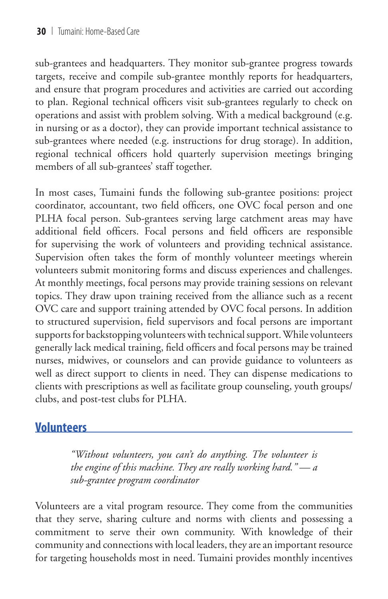sub-grantees and headquarters. They monitor sub-grantee progress towards targets, receive and compile sub-grantee monthly reports for headquarters, and ensure that program procedures and activities are carried out according to plan. Regional technical officers visit sub-grantees regularly to check on operations and assist with problem solving. With a medical background (e.g. in nursing or as a doctor), they can provide important technical assistance to sub-grantees where needed (e.g. instructions for drug storage). In addition, regional technical officers hold quarterly supervision meetings bringing members of all sub-grantees' staff together.

In most cases, Tumaini funds the following sub-grantee positions: project coordinator, accountant, two field officers, one OVC focal person and one PLHA focal person. Sub-grantees serving large catchment areas may have additional field officers. Focal persons and field officers are responsible for supervising the work of volunteers and providing technical assistance. Supervision often takes the form of monthly volunteer meetings wherein volunteers submit monitoring forms and discuss experiences and challenges. At monthly meetings, focal persons may provide training sessions on relevant topics. They draw upon training received from the alliance such as a recent OVC care and support training attended by OVC focal persons. In addition to structured supervision, field supervisors and focal persons are important supports for backstopping volunteers with technical support. While volunteers generally lack medical training, field officers and focal persons may be trained nurses, midwives, or counselors and can provide guidance to volunteers as well as direct support to clients in need. They can dispense medications to clients with prescriptions as well as facilitate group counseling, youth groups/ clubs, and post-test clubs for PLHA.

## **Volunteers**

*"Without volunteers, you can't do anything. The volunteer is the engine of this machine. They are really working hard." — a sub-grantee program coordinator*

Volunteers are a vital program resource. They come from the communities that they serve, sharing culture and norms with clients and possessing a commitment to serve their own community. With knowledge of their community and connections with local leaders, they are an important resource for targeting households most in need. Tumaini provides monthly incentives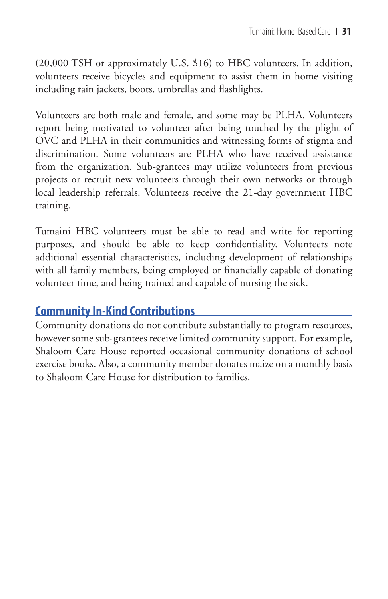(20,000 TSH or approximately U.S. \$16) to HBC volunteers. In addition, volunteers receive bicycles and equipment to assist them in home visiting including rain jackets, boots, umbrellas and flashlights.

Volunteers are both male and female, and some may be PLHA. Volunteers report being motivated to volunteer after being touched by the plight of OVC and PLHA in their communities and witnessing forms of stigma and discrimination. Some volunteers are PLHA who have received assistance from the organization. Sub-grantees may utilize volunteers from previous projects or recruit new volunteers through their own networks or through local leadership referrals. Volunteers receive the 21-day government HBC training.

Tumaini HBC volunteers must be able to read and write for reporting purposes, and should be able to keep confidentiality. Volunteers note additional essential characteristics, including development of relationships with all family members, being employed or financially capable of donating volunteer time, and being trained and capable of nursing the sick.

### **Community In-Kind Contributions**

Community donations do not contribute substantially to program resources, however some sub-grantees receive limited community support. For example, Shaloom Care House reported occasional community donations of school exercise books. Also, a community member donates maize on a monthly basis to Shaloom Care House for distribution to families.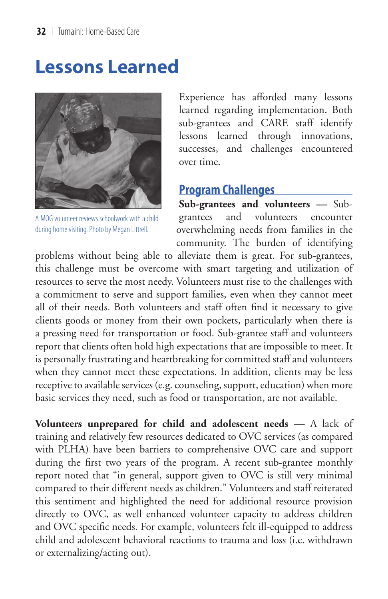## **Lessons Learned**



A MOG volunteer reviews schoolwork with a child during home visiting. Photo by Megan Littrell.

Experience has afforded many lessons learned regarding implementation. Both sub-grantees and CARE staff identify lessons learned through innovations, successes, and challenges encountered over time.

#### **Program Challenges**

**Sub-grantees and volunteers —** Subgrantees and volunteers encounter overwhelming needs from families in the community. The burden of identifying

problems without being able to alleviate them is great. For sub-grantees, this challenge must be overcome with smart targeting and utilization of resources to serve the most needy. Volunteers must rise to the challenges with a commitment to serve and support families, even when they cannot meet all of their needs. Both volunteers and staff often find it necessary to give clients goods or money from their own pockets, particularly when there is a pressing need for transportation or food. Sub-grantee staff and volunteers report that clients often hold high expectations that are impossible to meet. It is personally frustrating and heartbreaking for committed staff and volunteers when they cannot meet these expectations. In addition, clients may be less receptive to available services (e.g. counseling, support, education) when more basic services they need, such as food or transportation, are not available.

**Volunteers unprepared for child and adolescent needs —** A lack of training and relatively few resources dedicated to OVC services (as compared with PLHA) have been barriers to comprehensive OVC care and support during the first two years of the program. A recent sub-grantee monthly report noted that "in general, support given to OVC is still very minimal compared to their different needs as children." Volunteers and staff reiterated this sentiment and highlighted the need for additional resource provision directly to OVC, as well enhanced volunteer capacity to address children and OVC specific needs. For example, volunteers felt ill-equipped to address child and adolescent behavioral reactions to trauma and loss (i.e. withdrawn or externalizing/acting out).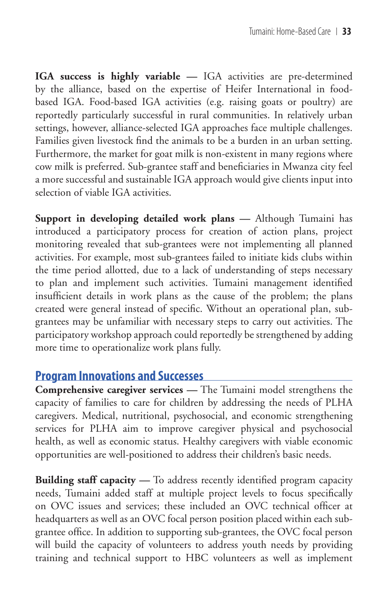**IGA success is highly variable —** IGA activities are pre-determined by the alliance, based on the expertise of Heifer International in foodbased IGA. Food-based IGA activities (e.g. raising goats or poultry) are reportedly particularly successful in rural communities. In relatively urban settings, however, alliance-selected IGA approaches face multiple challenges. Families given livestock find the animals to be a burden in an urban setting. Furthermore, the market for goat milk is non-existent in many regions where cow milk is preferred. Sub-grantee staff and beneficiaries in Mwanza city feel a more successful and sustainable IGA approach would give clients input into selection of viable IGA activities.

**Support in developing detailed work plans —** Although Tumaini has introduced a participatory process for creation of action plans, project monitoring revealed that sub-grantees were not implementing all planned activities. For example, most sub-grantees failed to initiate kids clubs within the time period allotted, due to a lack of understanding of steps necessary to plan and implement such activities. Tumaini management identified insufficient details in work plans as the cause of the problem; the plans created were general instead of specific. Without an operational plan, subgrantees may be unfamiliar with necessary steps to carry out activities. The participatory workshop approach could reportedly be strengthened by adding more time to operationalize work plans fully.

### **Program Innovations and Successes**

**Comprehensive caregiver services —** The Tumaini model strengthens the capacity of families to care for children by addressing the needs of PLHA caregivers. Medical, nutritional, psychosocial, and economic strengthening services for PLHA aim to improve caregiver physical and psychosocial health, as well as economic status. Healthy caregivers with viable economic opportunities are well-positioned to address their children's basic needs.

**Building staff capacity** — To address recently identified program capacity needs, Tumaini added staff at multiple project levels to focus specifically on OVC issues and services; these included an OVC technical officer at headquarters as well as an OVC focal person position placed within each subgrantee office. In addition to supporting sub-grantees, the OVC focal person will build the capacity of volunteers to address youth needs by providing training and technical support to HBC volunteers as well as implement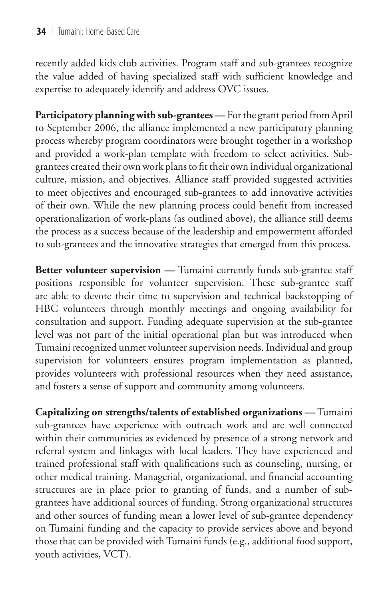recently added kids club activities. Program staff and sub-grantees recognize the value added of having specialized staff with sufficient knowledge and expertise to adequately identify and address OVC issues.

**Participatory planning with sub-grantees —** For the grant period from April to September 2006, the alliance implemented a new participatory planning process whereby program coordinators were brought together in a workshop and provided a work-plan template with freedom to select activities. Subgrantees created their own work plans to fit their own individual organizational culture, mission, and objectives. Alliance staff provided suggested activities to meet objectives and encouraged sub-grantees to add innovative activities of their own. While the new planning process could benefit from increased operationalization of work-plans (as outlined above), the alliance still deems the process as a success because of the leadership and empowerment afforded to sub-grantees and the innovative strategies that emerged from this process.

**Better volunteer supervision —** Tumaini currently funds sub-grantee staff positions responsible for volunteer supervision. These sub-grantee staff are able to devote their time to supervision and technical backstopping of HBC volunteers through monthly meetings and ongoing availability for consultation and support. Funding adequate supervision at the sub-grantee level was not part of the initial operational plan but was introduced when Tumaini recognized unmet volunteer supervision needs. Individual and group supervision for volunteers ensures program implementation as planned, provides volunteers with professional resources when they need assistance, and fosters a sense of support and community among volunteers.

**Capitalizing on strengths/talents of established organizations —** Tumaini sub-grantees have experience with outreach work and are well connected within their communities as evidenced by presence of a strong network and referral system and linkages with local leaders. They have experienced and trained professional staff with qualifications such as counseling, nursing, or other medical training. Managerial, organizational, and financial accounting structures are in place prior to granting of funds, and a number of subgrantees have additional sources of funding. Strong organizational structures and other sources of funding mean a lower level of sub-grantee dependency on Tumaini funding and the capacity to provide services above and beyond those that can be provided with Tumaini funds (e.g., additional food support, youth activities, VCT).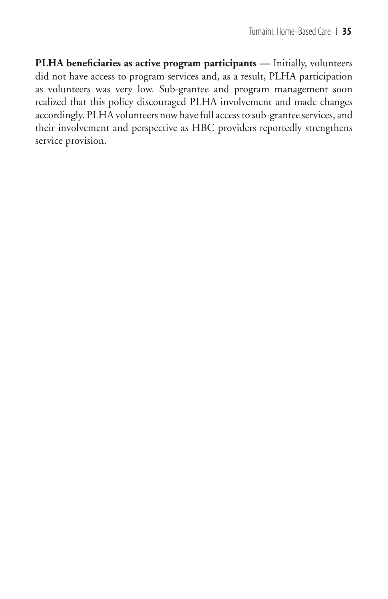**PLHA beneficiaries as active program participants —** Initially, volunteers did not have access to program services and, as a result, PLHA participation as volunteers was very low. Sub-grantee and program management soon realized that this policy discouraged PLHA involvement and made changes accordingly. PLHA volunteers now have full access to sub-grantee services, and their involvement and perspective as HBC providers reportedly strengthens service provision.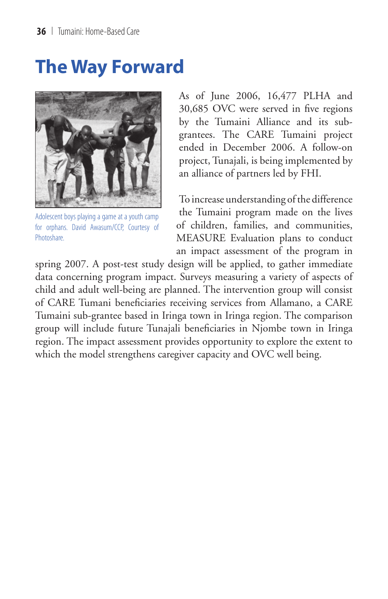## **The Way Forward**



Adolescent boys playing a game at a youth camp for orphans. David Awasum/CCP, Courtesy of **Photoshare** 

As of June 2006, 16,477 PLHA and 30,685 OVC were served in five regions by the Tumaini Alliance and its subgrantees. The CARE Tumaini project ended in December 2006. A follow-on project, Tunajali, is being implemented by an alliance of partners led by FHI.

To increase understanding of the difference the Tumaini program made on the lives of children, families, and communities, MEASURE Evaluation plans to conduct an impact assessment of the program in

spring 2007. A post-test study design will be applied, to gather immediate data concerning program impact. Surveys measuring a variety of aspects of child and adult well-being are planned. The intervention group will consist of CARE Tumani beneficiaries receiving services from Allamano, a CARE Tumaini sub-grantee based in Iringa town in Iringa region. The comparison group will include future Tunajali beneficiaries in Njombe town in Iringa region. The impact assessment provides opportunity to explore the extent to which the model strengthens caregiver capacity and OVC well being.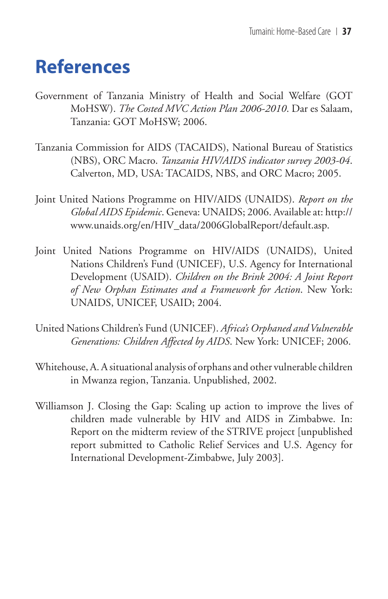## **References**

- Government of Tanzania Ministry of Health and Social Welfare (GOT MoHSW). *The Costed MVC Action Plan 2006-2010*. Dar es Salaam, Tanzania: GOT MoHSW; 2006.
- Tanzania Commission for AIDS (TACAIDS), National Bureau of Statistics (NBS), ORC Macro. *Tanzania HIV/AIDS indicator survey 2003-04*. Calverton, MD, USA: TACAIDS, NBS, and ORC Macro; 2005.
- Joint United Nations Programme on HIV/AIDS (UNAIDS). *Report on the Global AIDS Epidemic*. Geneva: UNAIDS; 2006. Available at: http:// www.unaids.org/en/HIV\_data/2006GlobalReport/default.asp.
- Joint United Nations Programme on HIV/AIDS (UNAIDS), United Nations Children's Fund (UNICEF), U.S. Agency for International Development (USAID). *Children on the Brink 2004: A Joint Report of New Orphan Estimates and a Framework for Action*. New York: UNAIDS, UNICEF, USAID; 2004.
- United Nations Children's Fund (UNICEF). *Africa's Orphaned and Vulnerable Generations: Children Affected by AIDS*. New York: UNICEF; 2006.
- Whitehouse, A. A situational analysis of orphans and other vulnerable children in Mwanza region, Tanzania. Unpublished, 2002.
- Williamson J. Closing the Gap: Scaling up action to improve the lives of children made vulnerable by HIV and AIDS in Zimbabwe. In: Report on the midterm review of the STRIVE project [unpublished report submitted to Catholic Relief Services and U.S. Agency for International Development-Zimbabwe, July 2003].